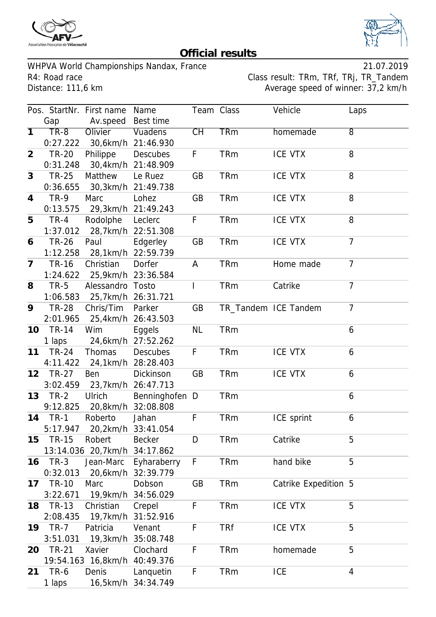



## **Official results**

WHPVA World Championships Nandax, France 21.07.2019 R4: Road race Class result: TRm, TRf, TRj, TR\_Tandem<br>Distance: 111,6 km

Average speed of winner: 37,2 km/h

|                 |              | Pos. StartNr. First name     | Name               | Team Class |            | Vehicle              | Laps           |
|-----------------|--------------|------------------------------|--------------------|------------|------------|----------------------|----------------|
|                 | Gap          | Av.speed Best time           |                    |            |            |                      |                |
| $\overline{1}$  | $TR-8$       | Olivier                      | Vuadens            | CH         | <b>TRm</b> | homemade             | $\overline{8}$ |
|                 | 0:27.222     |                              | 30,6km/h 21:46.930 |            |            |                      |                |
| $\overline{2}$  | <b>TR-20</b> | Philippe                     | <b>Descubes</b>    | F          | <b>TRm</b> | <b>ICE VTX</b>       | 8              |
|                 | 0:31.248     |                              | 30,4km/h 21:48.909 |            |            |                      |                |
| 3               | <b>TR-25</b> | Matthew                      | Le Ruez            | GB         | <b>TRm</b> | <b>ICE VTX</b>       | 8              |
|                 | 0:36.655     |                              | 30,3km/h 21:49.738 |            |            |                      |                |
| 4               | <b>TR-9</b>  | Marc                         | Lohez              | GB         | <b>TRm</b> | <b>ICE VTX</b>       | 8              |
|                 | 0:13.575     |                              | 29,3km/h 21:49.243 |            |            |                      |                |
| 5               | $TR-4$       | Rodolphe                     | Leclerc            | F          | <b>TRm</b> | <b>ICE VTX</b>       | 8              |
|                 | 1:37.012     |                              | 28,7km/h 22:51.308 |            |            |                      |                |
| 6               | <b>TR-26</b> | Paul                         | Edgerley           | GB         | <b>TRm</b> | <b>ICE VTX</b>       | $\overline{7}$ |
|                 | 1:12.258     |                              | 28,1km/h 22:59.739 |            |            |                      |                |
| $\overline{7}$  | <b>TR-16</b> | Christian                    | Dorfer             | A          | <b>TRm</b> | Home made            | $\overline{7}$ |
|                 | 1:24.622     |                              | 25,9km/h 23:36.584 |            |            |                      |                |
| 8               | $TR-5$       | Alessandro Tosto             |                    | T          | <b>TRm</b> | Catrike              | $\overline{7}$ |
|                 | 1:06.583     |                              | 25,7km/h 26:31.721 |            |            |                      |                |
| 9               | <b>TR-28</b> | Chris/Tim                    | Parker             | GB         |            | TR_Tandem ICE Tandem | $\overline{7}$ |
|                 | 2:01.965     |                              | 25,4km/h 26:43.503 |            |            |                      |                |
| 10              | <b>TR-14</b> | Wim                          | Eggels             | <b>NL</b>  | <b>TRm</b> |                      | 6              |
|                 | 1 laps       |                              | 24,6km/h 27:52.262 |            |            |                      |                |
| 11              | <b>TR-24</b> | Thomas                       | <b>Descubes</b>    | F          | <b>TRm</b> | <b>ICE VTX</b>       | 6              |
|                 | 4:11.422     |                              | 24,1km/h 28:28.403 |            |            |                      |                |
| 12 <sup>2</sup> | <b>TR-27</b> | Ben                          | Dickinson          | GB         | <b>TRm</b> | <b>ICE VTX</b>       | 6              |
|                 | 3:02.459     |                              | 23,7km/h 26:47.713 |            |            |                      |                |
| 13              | $TR-2$       | Ulrich                       | Benninghofen D     |            | <b>TRm</b> |                      | 6              |
|                 | 9:12.825     |                              | 20,8km/h 32:08.808 |            |            |                      |                |
| 14              | $TR-1$       | Roberto                      | Jahan              | F          | <b>TRm</b> | ICE sprint           | 6              |
|                 | 5:17.947     |                              | 20,2km/h 33:41.054 |            |            |                      |                |
| 15              | <b>TR-15</b> | Robert                       | <b>Becker</b>      | D          | <b>TRm</b> | Catrike              | 5              |
|                 |              | 13:14.036 20,7km/h           | 34:17.862          |            |            |                      |                |
| 16              | $TR-3$       | Jean-Marc                    | Eyharaberry        | F          | <b>TRm</b> | hand bike            | 5              |
|                 | 0:32.013     |                              | 20,6km/h 32:39.779 |            |            |                      |                |
| 17              | <b>TR-10</b> | Marc                         | Dobson             | GB         | <b>TRm</b> | Catrike Expedition 5 |                |
|                 | 3:22.671     |                              | 19,9km/h 34:56.029 |            |            |                      |                |
| 18              | TR-13        | Christian                    | Crepel             | F          | <b>TRm</b> | <b>ICE VTX</b>       | 5              |
|                 | 2:08.435     |                              | 19,7km/h 31:52.916 |            |            |                      |                |
| 19              | $TR-7$       | Patricia                     | Venant             | F          | <b>TRf</b> | <b>ICE VTX</b>       | 5              |
|                 | 3:51.031     | 19,3km/h                     | 35:08.748          |            |            |                      |                |
| 20              | <b>TR-21</b> | Xavier                       | Clochard           | F          | <b>TRm</b> | homemade             | 5              |
|                 |              | 19:54.163 16,8km/h 40:49.376 |                    |            |            |                      |                |
| 21              | TR-6         | Denis                        | Lanquetin          | F          | <b>TRm</b> | <b>ICE</b>           | 4              |
|                 | 1 laps       |                              | 16,5km/h 34:34.749 |            |            |                      |                |